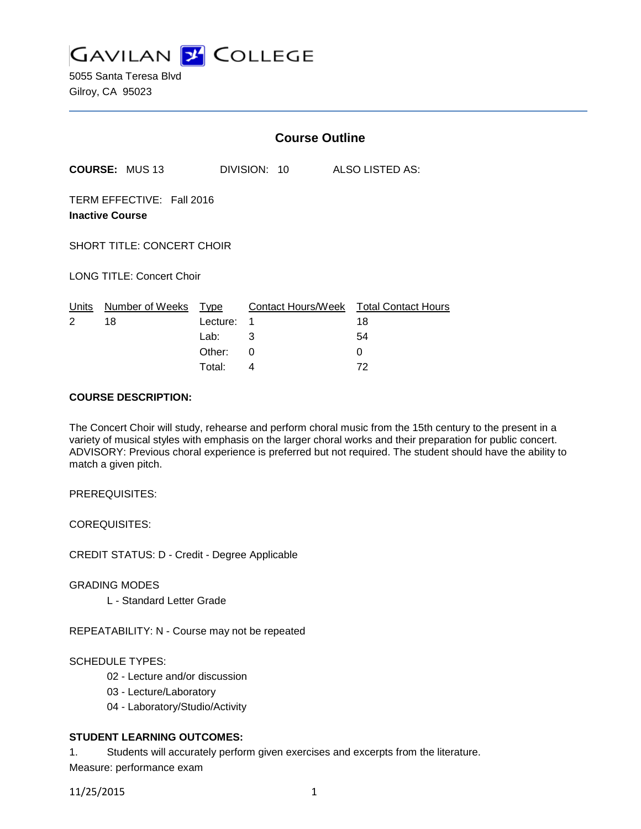

5055 Santa Teresa Blvd Gilroy, CA 95023

|                                                     |                       | <b>Course Outline</b> |                                        |                 |  |  |
|-----------------------------------------------------|-----------------------|-----------------------|----------------------------------------|-----------------|--|--|
|                                                     | <b>COURSE: MUS 13</b> |                       | DIVISION: 10                           | ALSO LISTED AS: |  |  |
| TERM EFFECTIVE: Fall 2016<br><b>Inactive Course</b> |                       |                       |                                        |                 |  |  |
| <b>SHORT TITLE: CONCERT CHOIR</b>                   |                       |                       |                                        |                 |  |  |
| <b>LONG TITLE: Concert Choir</b>                    |                       |                       |                                        |                 |  |  |
| Units                                               | Number of Weeks       | Type                  | Contact Hours/Week Total Contact Hours |                 |  |  |
| 2                                                   | 18                    | Lecture:              | 1                                      | 18              |  |  |
|                                                     |                       | Lab:                  | 3                                      | 54              |  |  |
|                                                     |                       | Other:                | 0                                      | 0               |  |  |
|                                                     |                       | Total:                | 4                                      | 72              |  |  |

### **COURSE DESCRIPTION:**

The Concert Choir will study, rehearse and perform choral music from the 15th century to the present in a variety of musical styles with emphasis on the larger choral works and their preparation for public concert. ADVISORY: Previous choral experience is preferred but not required. The student should have the ability to match a given pitch.

PREREQUISITES:

COREQUISITES:

CREDIT STATUS: D - Credit - Degree Applicable

GRADING MODES

L - Standard Letter Grade

REPEATABILITY: N - Course may not be repeated

SCHEDULE TYPES:

- 02 Lecture and/or discussion
- 03 Lecture/Laboratory
- 04 Laboratory/Studio/Activity

# **STUDENT LEARNING OUTCOMES:**

1. Students will accurately perform given exercises and excerpts from the literature.

Measure: performance exam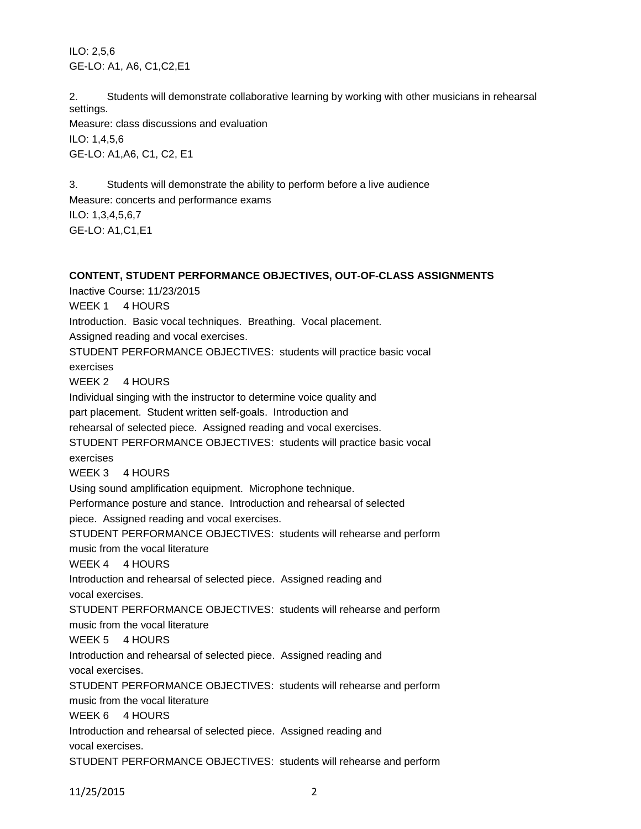ILO: 2,5,6 GE-LO: A1, A6, C1,C2,E1

2. Students will demonstrate collaborative learning by working with other musicians in rehearsal settings.

Measure: class discussions and evaluation ILO: 1,4,5,6 GE-LO: A1,A6, C1, C2, E1

3. Students will demonstrate the ability to perform before a live audience Measure: concerts and performance exams ILO: 1,3,4,5,6,7 GE-LO: A1,C1,E1

**CONTENT, STUDENT PERFORMANCE OBJECTIVES, OUT-OF-CLASS ASSIGNMENTS** Inactive Course: 11/23/2015 WEEK 1 4 HOURS Introduction. Basic vocal techniques. Breathing. Vocal placement. Assigned reading and vocal exercises. STUDENT PERFORMANCE OBJECTIVES: students will practice basic vocal exercises WEEK 2 4 HOURS Individual singing with the instructor to determine voice quality and part placement. Student written self-goals. Introduction and rehearsal of selected piece. Assigned reading and vocal exercises. STUDENT PERFORMANCE OBJECTIVES: students will practice basic vocal exercises WEEK 3 4 HOURS Using sound amplification equipment. Microphone technique. Performance posture and stance. Introduction and rehearsal of selected piece. Assigned reading and vocal exercises. STUDENT PERFORMANCE OBJECTIVES: students will rehearse and perform music from the vocal literature WEEK 4 4 HOURS Introduction and rehearsal of selected piece. Assigned reading and vocal exercises. STUDENT PERFORMANCE OBJECTIVES: students will rehearse and perform music from the vocal literature WEEK 5 4 HOURS Introduction and rehearsal of selected piece. Assigned reading and vocal exercises. STUDENT PERFORMANCE OBJECTIVES: students will rehearse and perform music from the vocal literature WEEK 6 4 HOURS Introduction and rehearsal of selected piece. Assigned reading and vocal exercises. STUDENT PERFORMANCE OBJECTIVES: students will rehearse and perform

11/25/2015 2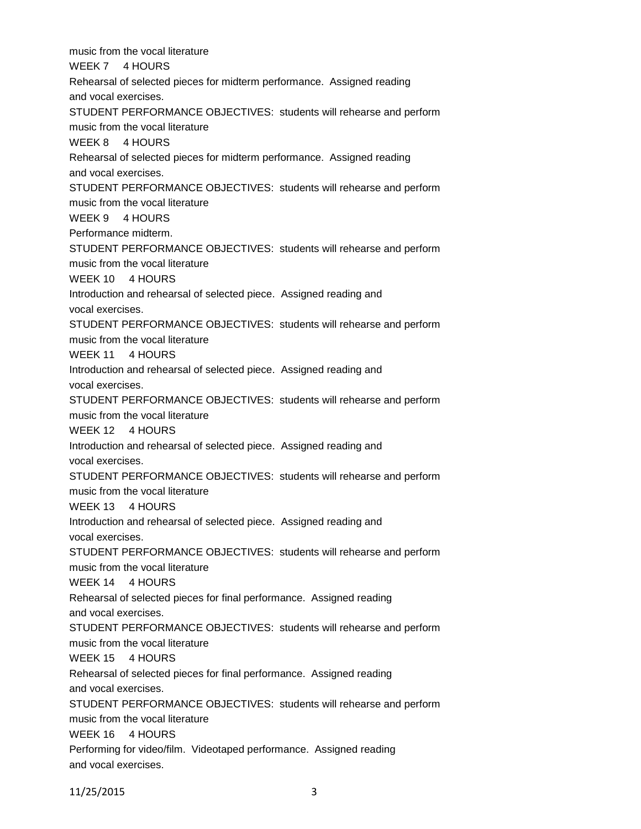music from the vocal literature WEEK 7 4 HOURS Rehearsal of selected pieces for midterm performance. Assigned reading and vocal exercises. STUDENT PERFORMANCE OBJECTIVES: students will rehearse and perform music from the vocal literature WEEK 8 4 HOURS Rehearsal of selected pieces for midterm performance. Assigned reading and vocal exercises. STUDENT PERFORMANCE OBJECTIVES: students will rehearse and perform music from the vocal literature WEEK 9 4 HOURS Performance midterm. STUDENT PERFORMANCE OBJECTIVES: students will rehearse and perform music from the vocal literature WEEK 10 4 HOURS Introduction and rehearsal of selected piece. Assigned reading and vocal exercises. STUDENT PERFORMANCE OBJECTIVES: students will rehearse and perform music from the vocal literature WEEK 11 4 HOURS Introduction and rehearsal of selected piece. Assigned reading and vocal exercises. STUDENT PERFORMANCE OBJECTIVES: students will rehearse and perform music from the vocal literature WEEK 12 4 HOURS Introduction and rehearsal of selected piece. Assigned reading and vocal exercises. STUDENT PERFORMANCE OBJECTIVES: students will rehearse and perform music from the vocal literature WEEK 13 4 HOURS Introduction and rehearsal of selected piece. Assigned reading and vocal exercises. STUDENT PERFORMANCE OBJECTIVES: students will rehearse and perform music from the vocal literature WEEK 14 4 HOURS Rehearsal of selected pieces for final performance. Assigned reading and vocal exercises. STUDENT PERFORMANCE OBJECTIVES: students will rehearse and perform music from the vocal literature WEEK 15 4 HOURS Rehearsal of selected pieces for final performance. Assigned reading and vocal exercises. STUDENT PERFORMANCE OBJECTIVES: students will rehearse and perform music from the vocal literature WEEK 16 4 HOURS Performing for video/film. Videotaped performance. Assigned reading and vocal exercises.

11/25/2015 3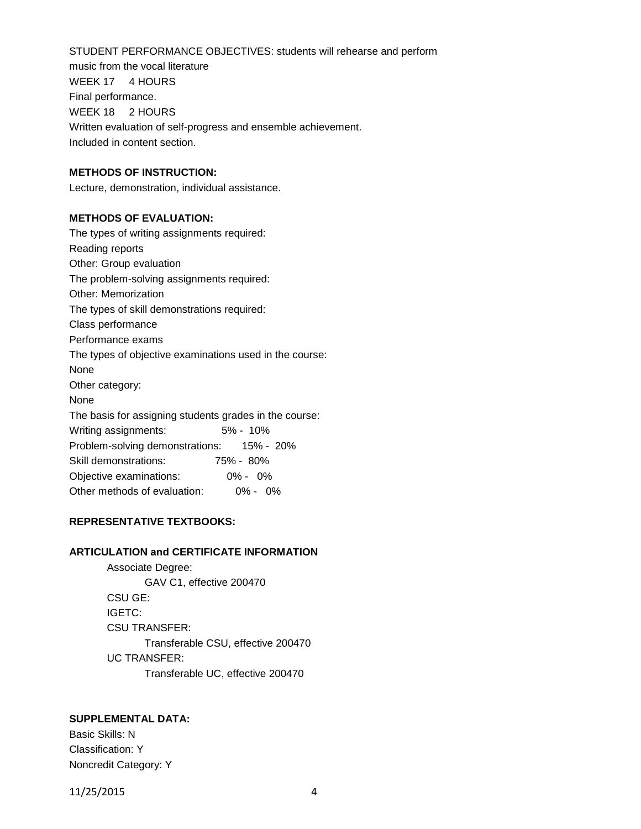STUDENT PERFORMANCE OBJECTIVES: students will rehearse and perform music from the vocal literature WEEK 17 4 HOURS Final performance. WEEK 18 2 HOURS Written evaluation of self-progress and ensemble achievement. Included in content section.

### **METHODS OF INSTRUCTION:**

Lecture, demonstration, individual assistance.

#### **METHODS OF EVALUATION:**

| The types of writing assignments required:              |  |  |  |  |  |
|---------------------------------------------------------|--|--|--|--|--|
| Reading reports                                         |  |  |  |  |  |
| Other: Group evaluation                                 |  |  |  |  |  |
| The problem-solving assignments required:               |  |  |  |  |  |
| <b>Other: Memorization</b>                              |  |  |  |  |  |
| The types of skill demonstrations required:             |  |  |  |  |  |
| Class performance                                       |  |  |  |  |  |
| Performance exams                                       |  |  |  |  |  |
| The types of objective examinations used in the course: |  |  |  |  |  |
| None                                                    |  |  |  |  |  |
| Other category:                                         |  |  |  |  |  |
| None                                                    |  |  |  |  |  |
| The basis for assigning students grades in the course:  |  |  |  |  |  |
| 5% - 10%<br>Writing assignments:                        |  |  |  |  |  |
| Problem-solving demonstrations: 15% - 20%               |  |  |  |  |  |
| Skill demonstrations:<br>75% - 80%                      |  |  |  |  |  |
| Objective examinations:<br>$0\% - 0\%$                  |  |  |  |  |  |
| Other methods of evaluation:<br>$0\% - 0\%$             |  |  |  |  |  |

### **REPRESENTATIVE TEXTBOOKS:**

## **ARTICULATION and CERTIFICATE INFORMATION**

Associate Degree: GAV C1, effective 200470 CSU GE: IGETC: CSU TRANSFER: Transferable CSU, effective 200470 UC TRANSFER: Transferable UC, effective 200470

### **SUPPLEMENTAL DATA:**

Basic Skills: N Classification: Y Noncredit Category: Y

11/25/2015 4